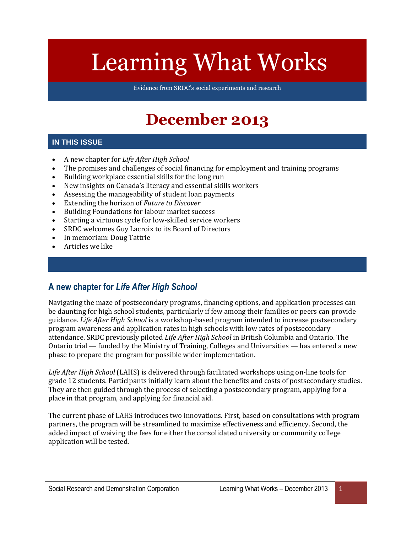# Learning What Works

Evidence from SRDC's social experiments and research

# **December 2013**

#### **IN THIS ISSUE**

- A new chapter for *Life After High School*
- The promises and challenges of social financing for employment and training programs
- Building workplace essential skills for the long run
- New insights on Canada's literacy and essential skills workers
- Assessing the manageability of student loan payments
- Extending the horizon of *Future to Discover*
- Building Foundations for labour market success
- Starting a virtuous cycle for low-skilled service workers
- SRDC welcomes Guy Lacroix to its Board of Directors
- In memoriam: Doug Tattrie
- Articles we like

#### **A new chapter for** *Life After High School*

Navigating the maze of postsecondary programs, financing options, and application processes can be daunting for high school students, particularly if few among their families or peers can provide guidance. *Life After High School* is a workshop-based program intended to increase postsecondary program awareness and application rates in high schools with low rates of postsecondary attendance. SRDC previously piloted *Life After High School* in British Columbia and Ontario. The Ontario trial — funded by the Ministry of Training, Colleges and Universities — has entered a new phase to prepare the program for possible wider implementation.

*Life After High School* (LAHS) is delivered through facilitated workshops using on-line tools for grade 12 students. Participants initially learn about the benefits and costs of postsecondary studies. They are then guided through the process of selecting a postsecondary program, applying for a place in that program, and applying for financial aid.

The current phase of LAHS introduces two innovations. First, based on consultations with program partners, the program will be streamlined to maximize effectiveness and efficiency. Second, the added impact of waiving the fees for either the consolidated university or community college application will be tested.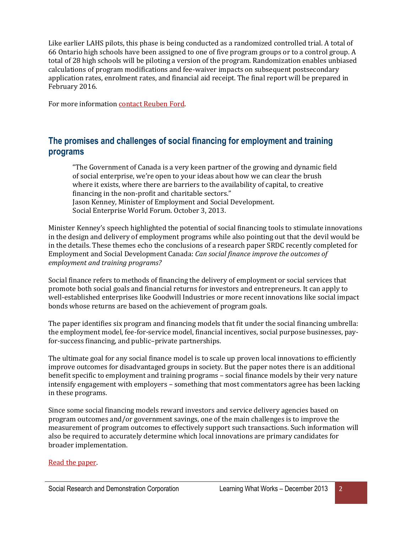Like earlier LAHS pilots, this phase is being conducted as a randomized controlled trial. A total of 66 Ontario high schools have been assigned to one of five program groups or to a control group. A total of 28 high schools will be piloting a version of the program. Randomization enables unbiased calculations of program modifications and fee-waiver impacts on subsequent postsecondary application rates, enrolment rates, and financial aid receipt. The final report will be prepared in February 2016.

For more informatio[n contact Reuben Ford.](mailto:rford@srdc.org)

## **The promises and challenges of social financing for employment and training programs**

"The Government of Canada is a very keen partner of the growing and dynamic field of social enterprise, we're open to your ideas about how we can clear the brush where it exists, where there are barriers to the availability of capital, to creative financing in the non-profit and charitable sectors." Jason Kenney, Minister of Employment and Social Development. Social Enterprise World Forum. October 3, 2013.

Minister Kenney's speech highlighted the potential of social financing tools to stimulate innovations in the design and delivery of employment programs while also pointing out that the devil would be in the details. These themes echo the conclusions of a research paper SRDC recently completed for Employment and Social Development Canada: *Can social finance improve the outcomes of employment and training programs?*

Social finance refers to methods of financing the delivery of employment or social services that promote both social goals and financial returns for investors and entrepreneurs. It can apply to well-established enterprises like Goodwill Industries or more recent innovations like social impact bonds whose returns are based on the achievement of program goals.

The paper identifies six program and financing models that fit under the social financing umbrella: the employment model, fee-for-service model, financial incentives, social purpose businesses, payfor-success financing, and public–private partnerships.

The ultimate goal for any social finance model is to scale up proven local innovations to efficiently improve outcomes for disadvantaged groups in society. But the paper notes there is an additional benefit specific to employment and training programs – social finance models by their very nature intensify engagement with employers – something that most commentators agree has been lacking in these programs.

Since some social financing models reward investors and service delivery agencies based on program outcomes and/or government savings, one of the main challenges is to improve the measurement of program outcomes to effectively support such transactions. Such information will also be required to accurately determine which local innovations are primary candidates for broader implementation.

#### [Read the](http://www.srdc.org/media/199684/social-finance-paper.pdf) paper.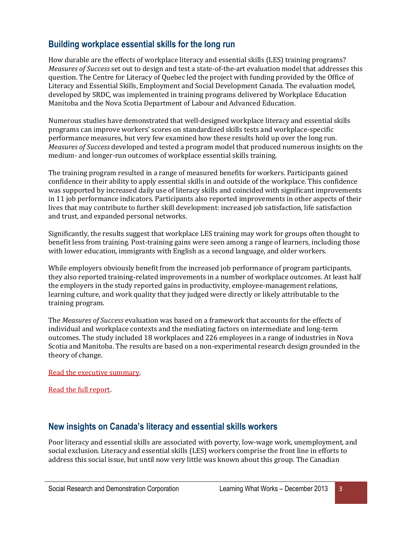## **Building workplace essential skills for the long run**

How durable are the effects of workplace literacy and essential skills (LES) training programs? *Measures of Success* set out to design and test a state-of-the-art evaluation model that addresses this question. The Centre for Literacy of Quebec led the project with funding provided by the Office of Literacy and Essential Skills, Employment and Social Development Canada. The evaluation model, developed by SRDC, was implemented in training programs delivered by Workplace Education Manitoba and the Nova Scotia Department of Labour and Advanced Education.

Numerous studies have demonstrated that well-designed workplace literacy and essential skills programs can improve workers' scores on standardized skills tests and workplace-specific performance measures, but very few examined how these results hold up over the long run. *Measures of Success* developed and tested a program model that produced numerous insights on the medium- and longer-run outcomes of workplace essential skills training.

The training program resulted in a range of measured benefits for workers. Participants gained confidence in their ability to apply essential skills in and outside of the workplace. This confidence was supported by increased daily use of literacy skills and coincided with significant improvements in 11 job performance indicators. Participants also reported improvements in other aspects of their lives that may contribute to further skill development: increased job satisfaction, life satisfaction and trust, and expanded personal networks.

Significantly, the results suggest that workplace LES training may work for groups often thought to benefit less from training. Post-training gains were seen among a range of learners, including those with lower education, immigrants with English as a second language, and older workers.

While employers obviously benefit from the increased job performance of program participants, they also reported training-related improvements in a number of workplace outcomes. At least half the employers in the study reported gains in productivity, employee-management relations, learning culture, and work quality that they judged were directly or likely attributable to the training program.

The *Measures of Success* evaluation was based on a framework that accounts for the effects of individual and workplace contexts and the mediating factors on intermediate and long-term outcomes. The study included 18 workplaces and 226 employees in a range of industries in Nova Scotia and Manitoba. The results are based on a non-experimental research design grounded in the theory of change.

[Read the executive summary.](http://www.srdc.org/media/199662/mos-es-en.pdf)

[Read the full report.](http://www.srdc.org/media/199687/mos-final-report-en.pdf)

#### **New insights on Canada's literacy and essential skills workers**

Poor literacy and essential skills are associated with poverty, low-wage work, unemployment, and social exclusion. Literacy and essential skills (LES) workers comprise the front line in efforts to address this social issue, but until now very little was known about this group. The Canadian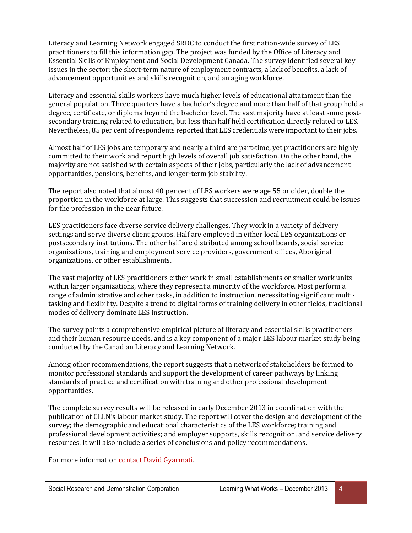Literacy and Learning Network engaged SRDC to conduct the first nation-wide survey of LES practitioners to fill this information gap. The project was funded by the Office of Literacy and Essential Skills of Employment and Social Development Canada. The survey identified several key issues in the sector: the short-term nature of employment contracts, a lack of benefits, a lack of advancement opportunities and skills recognition, and an aging workforce.

Literacy and essential skills workers have much higher levels of educational attainment than the general population. Three quarters have a bachelor's degree and more than half of that group hold a degree, certificate, or diploma beyond the bachelor level. The vast majority have at least some postsecondary training related to education, but less than half held certification directly related to LES. Nevertheless, 85 per cent of respondents reported that LES credentials were important to their jobs.

Almost half of LES jobs are temporary and nearly a third are part-time, yet practitioners are highly committed to their work and report high levels of overall job satisfaction. On the other hand, the majority are not satisfied with certain aspects of their jobs, particularly the lack of advancement opportunities, pensions, benefits, and longer-term job stability.

The report also noted that almost 40 per cent of LES workers were age 55 or older, double the proportion in the workforce at large. This suggests that succession and recruitment could be issues for the profession in the near future.

LES practitioners face diverse service delivery challenges. They work in a variety of delivery settings and serve diverse client groups. Half are employed in either local LES organizations or postsecondary institutions. The other half are distributed among school boards, social service organizations, training and employment service providers, government offices, Aboriginal organizations, or other establishments.

The vast majority of LES practitioners either work in small establishments or smaller work units within larger organizations, where they represent a minority of the workforce. Most perform a range of administrative and other tasks, in addition to instruction, necessitating significant multitasking and flexibility. Despite a trend to digital forms of training delivery in other fields, traditional modes of delivery dominate LES instruction.

The survey paints a comprehensive empirical picture of literacy and essential skills practitioners and their human resource needs, and is a key component of a major LES labour market study being conducted by the Canadian Literacy and Learning Network.

Among other recommendations, the report suggests that a network of stakeholders be formed to monitor professional standards and support the development of career pathways by linking standards of practice and certification with training and other professional development opportunities.

The complete survey results will be released in early December 2013 in coordination with the publication of CLLN's labour market study. The report will cover the design and development of the survey; the demographic and educational characteristics of the LES workforce; training and professional development activities; and employer supports, skills recognition, and service delivery resources. It will also include a series of conclusions and policy recommendations.

For more informatio[n contact David Gyarmati.](mailto:dgyarmati@srdc.org)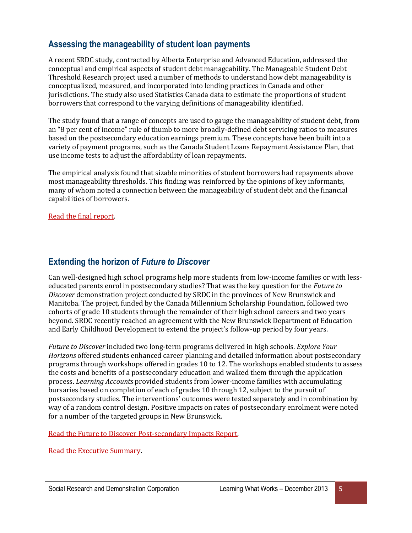## **Assessing the manageability of student loan payments**

A recent SRDC study, contracted by Alberta Enterprise and Advanced Education, addressed the conceptual and empirical aspects of student debt manageability. The Manageable Student Debt Threshold Research project used a number of methods to understand how debt manageability is conceptualized, measured, and incorporated into lending practices in Canada and other jurisdictions. The study also used Statistics Canada data to estimate the proportions of student borrowers that correspond to the varying definitions of manageability identified.

The study found that a range of concepts are used to gauge the manageability of student debt, from an "8 per cent of income" rule of thumb to more broadly-defined debt servicing ratios to measures based on the postsecondary education earnings premium. These concepts have been built into a variety of payment programs, such as the Canada Student Loans Repayment Assistance Plan, that use income tests to adjust the affordability of loan repayments.

The empirical analysis found that sizable minorities of student borrowers had repayments above most manageability thresholds. This finding was reinforced by the opinions of key informants, many of whom noted a connection between the manageability of student debt and the financial capabilities of borrowers.

[Read the final report.](http://www.srdc.org/media/199685/student-debt-report.pdf)

#### **Extending the horizon of** *Future to Discover*

Can well-designed high school programs help more students from low-income families or with lesseducated parents enrol in postsecondary studies? That was the key question for the *Future to Discover* demonstration project conducted by SRDC in the provinces of New Brunswick and Manitoba. The project, funded by the Canada Millennium Scholarship Foundation, followed two cohorts of grade 10 students through the remainder of their high school careers and two years beyond. SRDC recently reached an agreement with the New Brunswick Department of Education and Early Childhood Development to extend the project's follow-up period by four years.

*Future to Discover* included two long-term programs delivered in high schools. *Explore Your Horizons* offered students enhanced career planning and detailed information about postsecondary programs through workshops offered in grades 10 to 12. The workshops enabled students to assess the costs and benefits of a postsecondary education and walked them through the application process. *Learning Accounts* provided students from lower-income families with accumulating bursaries based on completion of each of grades 10 through 12, subject to the pursuit of postsecondary studies. The interventions' outcomes were tested separately and in combination by way of a random control design. Positive impacts on rates of postsecondary enrolment were noted for a number of the targeted groups in New Brunswick.

[Read the Future to Discover Post-secondary Impacts Report.](http://www.srdc.org/media/9216/FTD_PSI_Report_EN.pdf)

[Read the Executive Summary.](http://www.srdc.org/media/9210/FTD_PSI_ES_EN.pdf)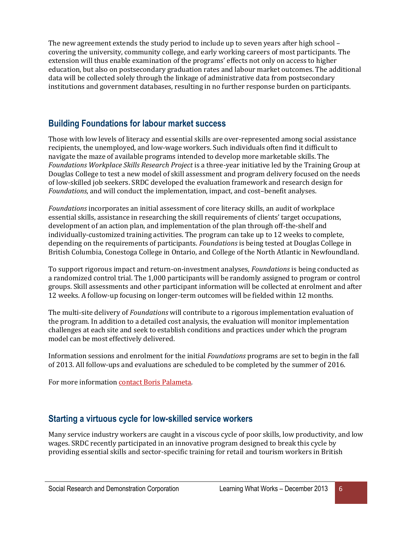The new agreement extends the study period to include up to seven years after high school – covering the university, community college, and early working careers of most participants. The extension will thus enable examination of the programs' effects not only on access to higher education, but also on postsecondary graduation rates and labour market outcomes. The additional data will be collected solely through the linkage of administrative data from postsecondary institutions and government databases, resulting in no further response burden on participants.

# **Building Foundations for labour market success**

Those with low levels of literacy and essential skills are over-represented among social assistance recipients, the unemployed, and low-wage workers. Such individuals often find it difficult to navigate the maze of available programs intended to develop more marketable skills. The *Foundations Workplace Skills Research Project* is a three-year initiative led by the Training Group at Douglas College to test a new model of skill assessment and program delivery focused on the needs of low-skilled job seekers. SRDC developed the evaluation framework and research design for *Foundations*, and will conduct the implementation, impact, and cost–benefit analyses.

*Foundations* incorporates an initial assessment of core literacy skills, an audit of workplace essential skills, assistance in researching the skill requirements of clients' target occupations, development of an action plan, and implementation of the plan through off-the-shelf and individually-customized training activities. The program can take up to 12 weeks to complete, depending on the requirements of participants. *Foundations* is being tested at Douglas College in British Columbia, Conestoga College in Ontario, and College of the North Atlantic in Newfoundland.

To support rigorous impact and return-on-investment analyses, *Foundations* is being conducted as a randomized control trial. The 1,000 participants will be randomly assigned to program or control groups. Skill assessments and other participant information will be collected at enrolment and after 12 weeks. A follow-up focusing on longer-term outcomes will be fielded within 12 months.

The multi-site delivery of *Foundations* will contribute to a rigorous implementation evaluation of the program. In addition to a detailed cost analysis, the evaluation will monitor implementation challenges at each site and seek to establish conditions and practices under which the program model can be most effectively delivered.

Information sessions and enrolment for the initial *Foundations* programs are set to begin in the fall of 2013. All follow-ups and evaluations are scheduled to be completed by the summer of 2016.

For more informatio[n contact Boris Palameta.](mailto:bpalameta@srdc.org)

#### **Starting a virtuous cycle for low-skilled service workers**

Many service industry workers are caught in a viscous cycle of poor skills, low productivity, and low wages. SRDC recently participated in an innovative program designed to break this cycle by providing essential skills and sector-specific training for retail and tourism workers in British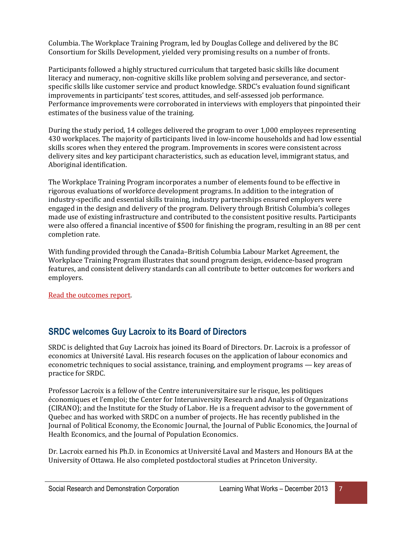Columbia. The Workplace Training Program, led by Douglas College and delivered by the BC Consortium for Skills Development, yielded very promising results on a number of fronts.

Participants followed a highly structured curriculum that targeted basic skills like document literacy and numeracy, non-cognitive skills like problem solving and perseverance, and sectorspecific skills like customer service and product knowledge. SRDC's evaluation found significant improvements in participants' test scores, attitudes, and self-assessed job performance. Performance improvements were corroborated in interviews with employers that pinpointed their estimates of the business value of the training.

During the study period, 14 colleges delivered the program to over 1,000 employees representing 430 workplaces. The majority of participants lived in low-income households and had low essential skills scores when they entered the program. Improvements in scores were consistent across delivery sites and key participant characteristics, such as education level, immigrant status, and Aboriginal identification.

The Workplace Training Program incorporates a number of elements found to be effective in rigorous evaluations of workforce development programs. In addition to the integration of industry-specific and essential skills training, industry partnerships ensured employers were engaged in the design and delivery of the program. Delivery through British Columbia's colleges made use of existing infrastructure and contributed to the consistent positive results. Participants were also offered a financial incentive of \$500 for finishing the program, resulting in an 88 per cent completion rate.

With funding provided through the Canada–British Columbia Labour Market Agreement, the Workplace Training Program illustrates that sound program design, evidence-based program features, and consistent delivery standards can all contribute to better outcomes for workers and employers.

[Read the outcomes report.](http://www.srdc.org/media/199686/wtp-outcomes-report.pdf)

# **SRDC welcomes Guy Lacroix to its Board of Directors**

SRDC is delighted that Guy Lacroix has joined its Board of Directors. Dr. Lacroix is a professor of economics at Université Laval. His research focuses on the application of labour economics and econometric techniques to social assistance, training, and employment programs — key areas of practice for SRDC.

Professor Lacroix is a fellow of the Centre interuniversitaire sur le risque, les politiques économiques et l'emploi; the Center for Interuniversity Research and Analysis of Organizations (CIRANO); and the Institute for the Study of Labor. He is a frequent advisor to the government of Quebec and has worked with SRDC on a number of projects. He has recently published in the Journal of Political Economy, the Economic Journal, the Journal of Public Economics, the Journal of Health Economics, and the Journal of Population Economics.

Dr. Lacroix earned his Ph.D. in Economics at Université Laval and Masters and Honours BA at the University of Ottawa. He also completed postdoctoral studies at Princeton University.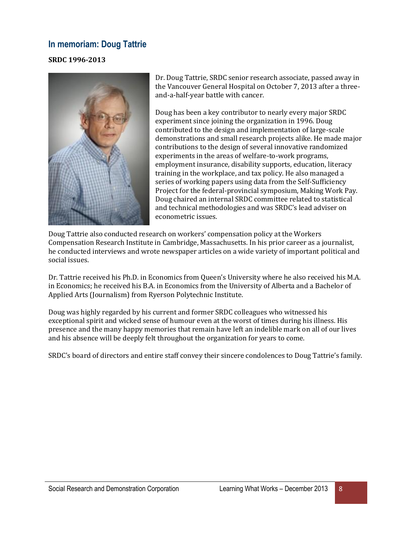#### **In memoriam: Doug Tattrie**

#### **SRDC 1996-2013**



Dr. Doug Tattrie, SRDC senior research associate, passed away in the Vancouver General Hospital on October 7, 2013 after a threeand-a-half-year battle with cancer.

Doug has been a key contributor to nearly every major SRDC experiment since joining the organization in 1996. Doug contributed to the design and implementation of large-scale demonstrations and small research projects alike. He made major contributions to the design of several innovative randomized experiments in the areas of welfare-to-work programs, employment insurance, disability supports, education, literacy training in the workplace, and tax policy. He also managed a series of working papers using data from the Self-Sufficiency Project for the federal-provincial symposium, Making Work Pay. Doug chaired an internal SRDC committee related to statistical and technical methodologies and was SRDC's lead adviser on econometric issues.

Doug Tattrie also conducted research on workers' compensation policy at the Workers Compensation Research Institute in Cambridge, Massachusetts. In his prior career as a journalist, he conducted interviews and wrote newspaper articles on a wide variety of important political and social issues.

Dr. Tattrie received his Ph.D. in Economics from Queen's University where he also received his M.A. in Economics; he received his B.A. in Economics from the University of Alberta and a Bachelor of Applied Arts (Journalism) from Ryerson Polytechnic Institute.

Doug was highly regarded by his current and former SRDC colleagues who witnessed his exceptional spirit and wicked sense of humour even at the worst of times during his illness. His presence and the many happy memories that remain have left an indelible mark on all of our lives and his absence will be deeply felt throughout the organization for years to come.

SRDC's board of directors and entire staff convey their sincere condolences to Doug Tattrie's family.